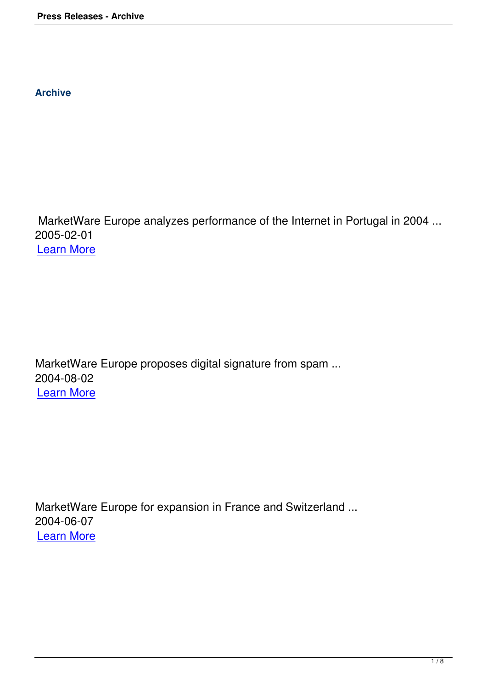**Archive**

 MarketWare Europe analyzes performance of the Internet in Portugal in 2004 ... 2005-02-01 Learn More

MarketWare Europe proposes digital signature from spam ... 2004-08-02 Learn More

MarketWare Europe for expansion in France and Switzerland ... 2004-06-07 Learn More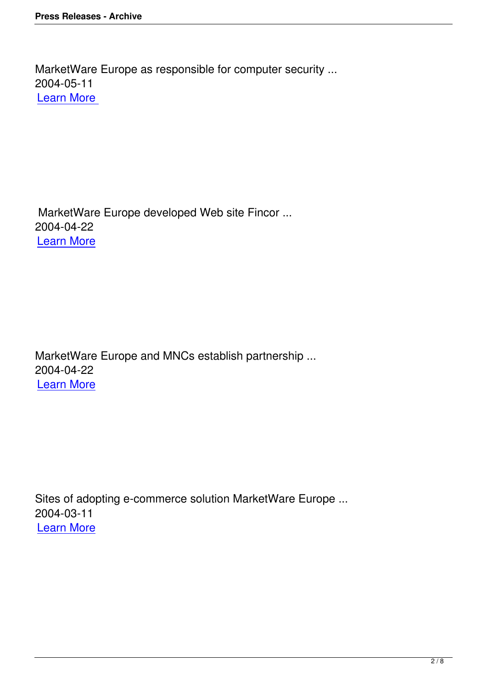MarketWare Europe developed Web site Fincor ... 2004-04-22 Learn More

MarketWare Europe and MNCs establish partnership ... 2004-04-22 Learn More

Sites of adopting e-commerce solution MarketWare Europe ... 2004-03-11 Learn More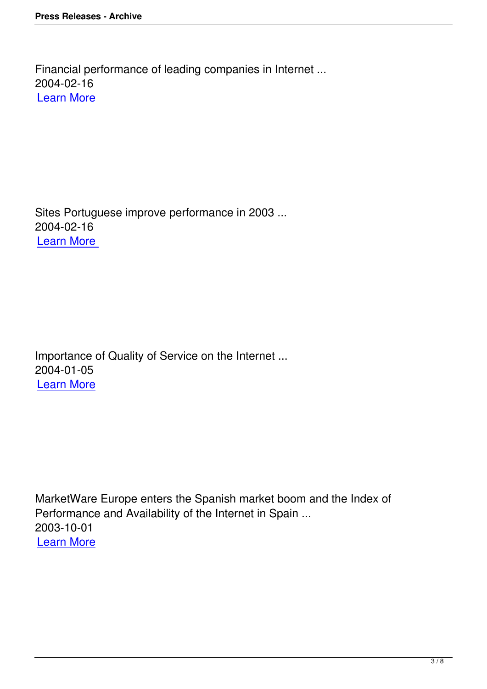Sites Portuguese improve performance in 2003 ... 2004-02-16 Learn More

Importance of Quality of Service on the Internet ... 2004-01-05 Learn More

MarketWare Europe enters the Spanish market boom and the Index of Performance and Availability of the Internet in Spain ... 2003-10-01 Learn More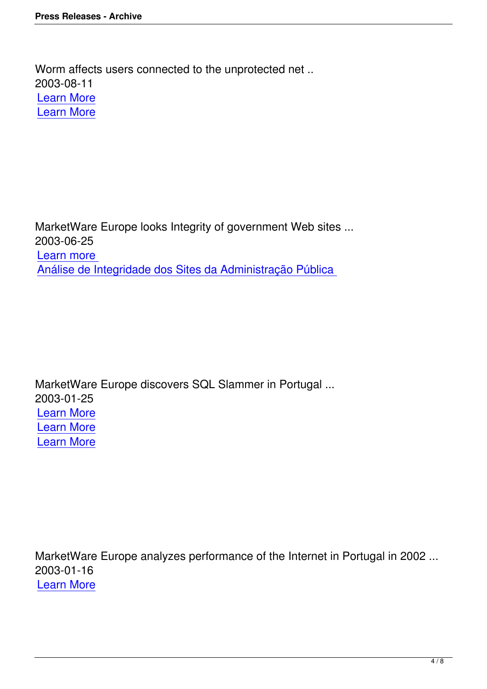Worm affects users connected to the unprotected net .. 2003-08-11 Learn More Learn More

MarketWare Europe looks Integrity of government Web sites ... 2003-06-25 Learn more Análise de Integridade dos Sites da Administração Pública

MarketWare Europe discovers SQL Slammer in Portugal ... 2003-01-25 Learn More Learn More [Learn More](../pt/pdf/PressRelease-SQL-Slammer.pdf)

MarketWare Europe analyzes performance of the Internet in Portugal in 2002 ... 2003-01-16 Learn More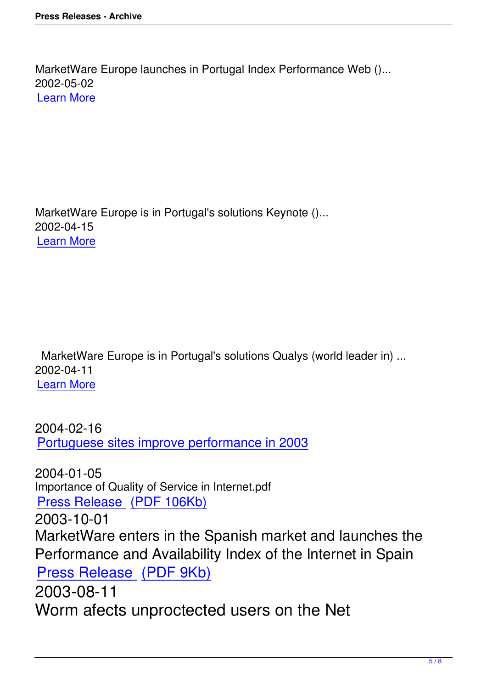MarketWare Europe is in Portugal's solutions Keynote ()... 2002-04-15 Learn More

 MarketWare Europe is in Portugal's solutions Qualys (world leader in) ... 2002-04-11 Learn More

[2004-02-16](../pt/pdf/PressRelease-Qualys.pdf) Portuguese sites improve performance in 2003

2004-01-05 [Importance of Quality of Service in Internet.pdf](http://tek.sapo.pt/4M0/448816.html) Press Release (PDF 106Kb) 2003-10-01 [MarketWare enters in the S](http://www.marketware.pt/pdf/PR-Rel_QOS.pdf)panish market and launches the Performance and Availability Index of the Internet in Spain Press Release (PDF 9Kb) 2003-08-11 [Worm afects unproctecte](http://www.marketware.pt/pdf/PR-KESP_Espana.pdf)d users on the Net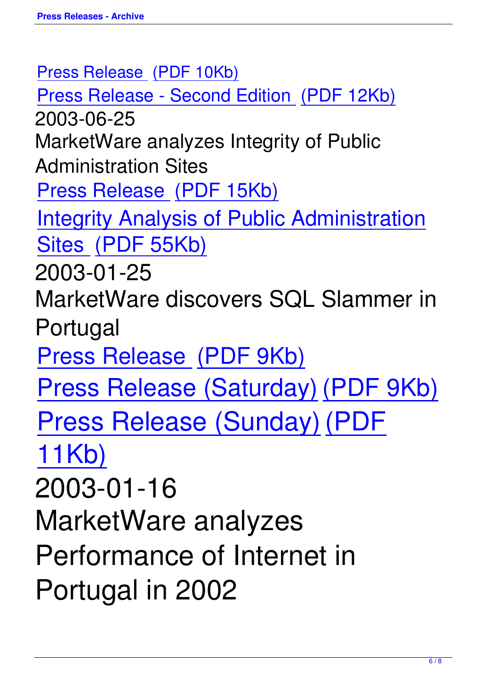Press Release (PDF 10Kb) Press Releas[e - Second E](http://www.marketware.pt/pdf/PressRelease-Blaster.pdf)dition (PDF 12Kb) [2003-06-25](http://www.marketware.pt/pdf/PressRelease-Blaster.pdf) [MarketWare analyzes Integrity of Public](http://www.marketware.pt/pdf/PressRelease-Blaster-v2.pdf) Administration Sites Press Release (PDF 15Kb) [Integrity Analysis of Public](http://www.marketware.pt/pdf/PressRelease-analise-integridade.pdf) Administration [Sites \(PDF 55Kb\)](http://www.marketware.pt/pdf/analise-integridade.pdf) [2003-](http://www.marketware.pt/pdf/analise-integridade.pdf)01-25 Mark[etWare disco](http://www.marketware.pt/pdf/analise-integridade.pdf)vers SQL Slammer in Portugal Press Release (PDF 9Kb) [Press Release \(Saturday](http://www.marketware.pt/pdf/PressRelease-SQL-Slammer.pdf)) (PDF 9Kb) [Press Release \(Sunday\)](http://www.marketware.pt/pdf/PressRelease-SQL-Slammer-v0.pdf) [\(PDF](http://www.marketware.pt/pdf/PressRelease-SQL-Slammer-v0.pdf) [11Kb\)](http://www.marketware.pt/pdf/PressRelease-SQL-Slammer-v1.pdf) [2003-0](http://www.marketware.pt/pdf/PressRelease-SQL-Slammer-v1.pdf)1-16 MarketWare analyzes Performance of Internet in Portugal in 2002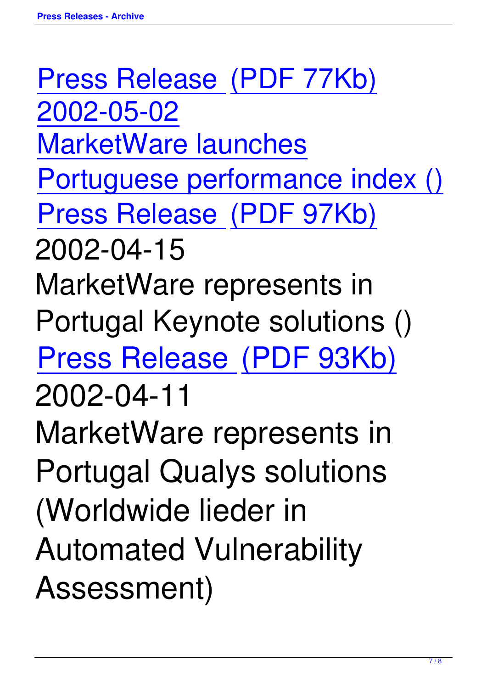Press Release (PDF 77Kb) [2002-05-02](http://www.marketware.pt/pdf/PressRelease-KPBI30-2002.pdf) [MarketWare](http://www.marketware.pt/pdf/PressRelease-KPBI30-2002.pdf) la[unches](http://www.marketware.pt/pdf/PressRelease-KPBI30-2002.pdf) [Portuguese performan](http://www.marketware.pt/pdf/PressRelease-KPBI30-2002.pdf)ce index () [Press Release \(PDF 97Kb\)](http://www.marketware.pt/pdf/PressRelease-KPBI30-2002.pdf) [2002-04-15](http://www.marketware.pt/pdf/PressRelease-Indice.pdf) MarketWare represents in Portugal Keynote solutions () Press Release (PDF 93Kb) [2002-04-11](http://www.marketware.pt/pdf/PressRelease-Keynote.pdf) MarketWare represents in Portugal Qualys solutions (Worldwide lieder in Automated Vulnerability Assessment)